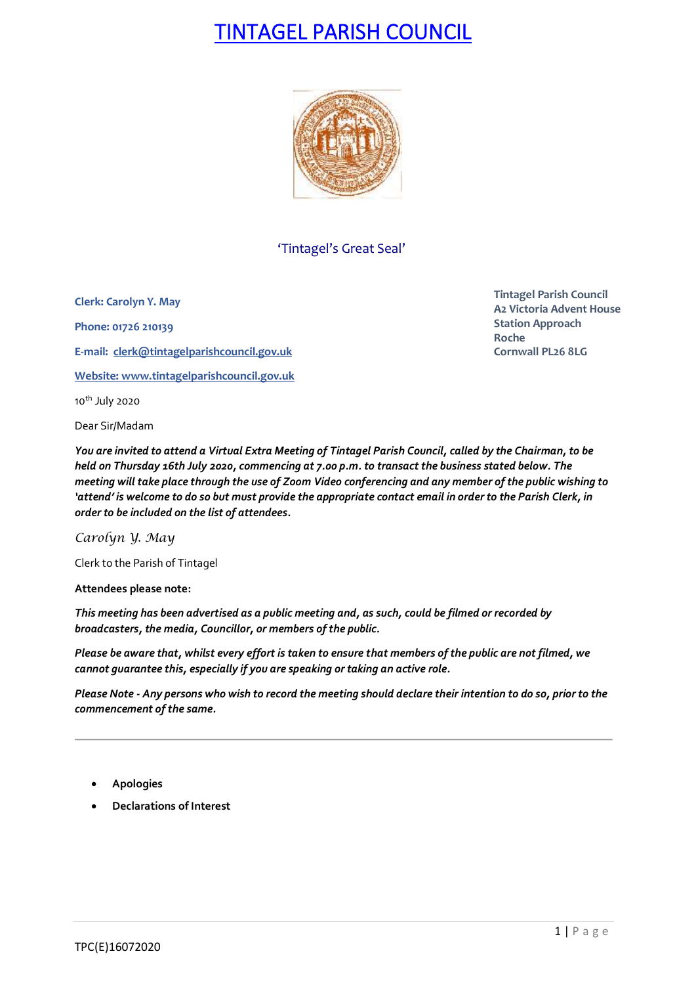## TINTAGEL PARISH COUNCIL



## 'Tintagel's Great Seal'

**Clerk: Carolyn Y. May Phone: 01726 210139**

**E-mail: [clerk@tintagelparishcouncil.gov.uk](mailto:clerk@tintagelparishcouncil.gov.uk)**

**Website: [www.tintagelparishcouncil.gov.uk](http://www.tintagelparishcouncil.gov.uk/)**

10<sup>th</sup> July 2020

Dear Sir/Madam

**Tintagel Parish Council A2 Victoria Advent House Station Approach Roche Cornwall PL26 8LG**

*You are invited to attend a Virtual Extra Meeting of Tintagel Parish Council, called by the Chairman, to be held on Thursday 16th July 2020, commencing at 7.00 p.m. to transact the business stated below. The meeting will take place through the use of Zoom Video conferencing and any member of the public wishing to 'attend' is welcome to do so but must provide the appropriate contact email in order to the Parish Clerk, in order to be included on the list of attendees.*

*Carolyn Y. May*

Clerk to the Parish of Tintagel

**Attendees please note:**

*This meeting has been advertised as a public meeting and, as such, could be filmed or recorded by broadcasters, the media, Councillor, or members of the public.*

*Please be aware that, whilst every effort is taken to ensure that members of the public are not filmed, we cannot guarantee this, especially if you are speaking or taking an active role.*

*Please Note - Any persons who wish to record the meeting should declare their intention to do so, prior to the commencement of the same.*

- **Apologies**
- **Declarations of Interest**